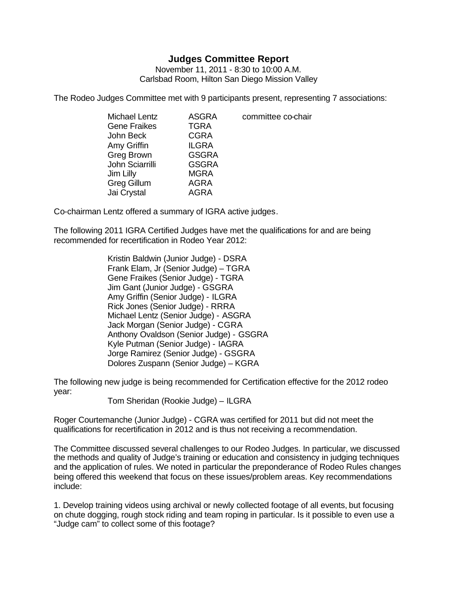## **Judges Committee Report**

November 11, 2011 - 8:30 to 10:00 A.M. Carlsbad Room, Hilton San Diego Mission Valley

The Rodeo Judges Committee met with 9 participants present, representing 7 associations:

| <b>Michael Lentz</b> | <b>ASGRA</b> | committee co-chair |
|----------------------|--------------|--------------------|
| <b>Gene Fraikes</b>  | <b>TGRA</b>  |                    |
| John Beck            | <b>CGRA</b>  |                    |
| Amy Griffin          | <b>ILGRA</b> |                    |
| Greg Brown           | <b>GSGRA</b> |                    |
| John Sciarrilli      | <b>GSGRA</b> |                    |
| Jim Lilly            | <b>MGRA</b>  |                    |
| Greg Gillum          | AGRA         |                    |
| Jai Crystal          | AGRA         |                    |
|                      |              |                    |

Co-chairman Lentz offered a summary of IGRA active judges.

The following 2011 IGRA Certified Judges have met the qualifications for and are being recommended for recertification in Rodeo Year 2012:

> Kristin Baldwin (Junior Judge) - DSRA Frank Elam, Jr (Senior Judge) – TGRA Gene Fraikes (Senior Judge) - TGRA Jim Gant (Junior Judge) - GSGRA Amy Griffin (Senior Judge) - ILGRA Rick Jones (Senior Judge) - RRRA Michael Lentz (Senior Judge) - ASGRA Jack Morgan (Senior Judge) - CGRA Anthony Ovaldson (Senior Judge) - GSGRA Kyle Putman (Senior Judge) - IAGRA Jorge Ramirez (Senior Judge) - GSGRA Dolores Zuspann (Senior Judge) – KGRA

The following new judge is being recommended for Certification effective for the 2012 rodeo year:

Tom Sheridan (Rookie Judge) – ILGRA

Roger Courtemanche (Junior Judge) - CGRA was certified for 2011 but did not meet the qualifications for recertification in 2012 and is thus not receiving a recommendation.

The Committee discussed several challenges to our Rodeo Judges. In particular, we discussed the methods and quality of Judge's training or education and consistency in judging techniques and the application of rules. We noted in particular the preponderance of Rodeo Rules changes being offered this weekend that focus on these issues/problem areas. Key recommendations include:

1. Develop training videos using archival or newly collected footage of all events, but focusing on chute dogging, rough stock riding and team roping in particular. Is it possible to even use a "Judge cam" to collect some of this footage?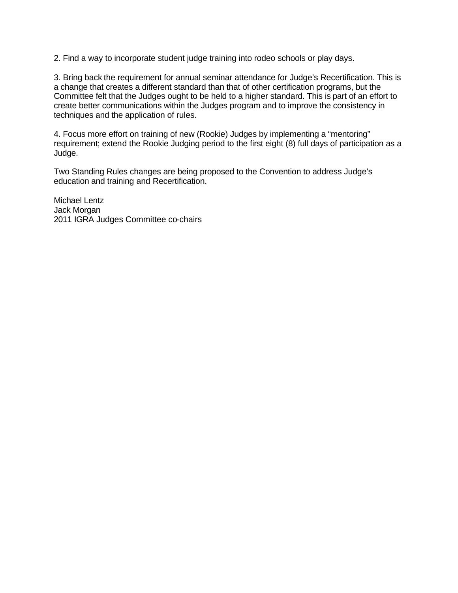2. Find a way to incorporate student judge training into rodeo schools or play days.

3. Bring back the requirement for annual seminar attendance for Judge's Recertification. This is a change that creates a different standard than that of other certification programs, but the Committee felt that the Judges ought to be held to a higher standard. This is part of an effort to create better communications within the Judges program and to improve the consistency in techniques and the application of rules.

4. Focus more effort on training of new (Rookie) Judges by implementing a "mentoring" requirement; extend the Rookie Judging period to the first eight (8) full days of participation as a Judge.

Two Standing Rules changes are being proposed to the Convention to address Judge's education and training and Recertification.

Michael Lentz Jack Morgan 2011 IGRA Judges Committee co-chairs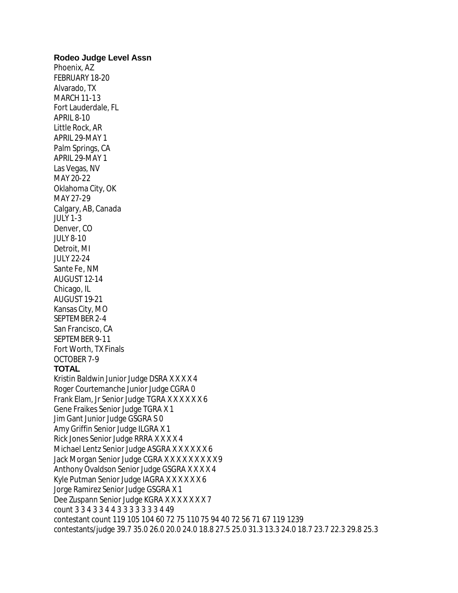## **Rodeo Judge Level Assn**

Phoenix, AZ FEBRUARY 18-20 Alvarado, TX MARCH 11-13 Fort Lauderdale, FL APRIL 8-10 Little Rock, AR APRIL 29-MAY 1 Palm Springs, CA APRIL 29-MAY 1 Las Vegas, NV MAY 20-22 Oklahoma City, OK MAY 27-29 Calgary, AB, Canada JULY 1-3 Denver, CO JULY 8-10 Detroit, MI JULY 22-24 Sante Fe, NM AUGUST 12-14 Chicago, IL AUGUST 19-21 Kansas City, MO SEPTEMBER 2-4 San Francisco, CA SEPTEMBER 9-11 Fort Worth, TX Finals OCTOBER 7-9

**TOTAL** Kristin Baldwin Junior Judge DSRA X X X X 4 Roger Courtemanche Junior Judge CGRA 0 Frank Elam, Jr Senior Judge TGRA X X X X X X 6 Gene Fraikes Senior Judge TGRA X 1 Jim Gant Junior Judge GSGRA S 0 Amy Griffin Senior Judge ILGRA X 1 Rick Jones Senior Judge RRRA X X X X 4 Michael Lentz Senior Judge ASGRA X X X X X X 6 Jack Morgan Senior Judge CGRA X X X X X X X X X 9 Anthony Ovaldson Senior Judge GSGRA X X X X 4 Kyle Putman Senior Judge IAGRA X X X X X X 6 Jorge Ramirez Senior Judge GSGRA X 1 Dee Zuspann Senior Judge KGRA X X X X X X X 7 count 3 3 4 3 3 4 4 3 3 3 3 3 3 3 4 49 contestant count 119 105 104 60 72 75 110 75 94 40 72 56 71 67 119 1239 contestants/judge 39.7 35.0 26.0 20.0 24.0 18.8 27.5 25.0 31.3 13.3 24.0 18.7 23.7 22.3 29.8 25.3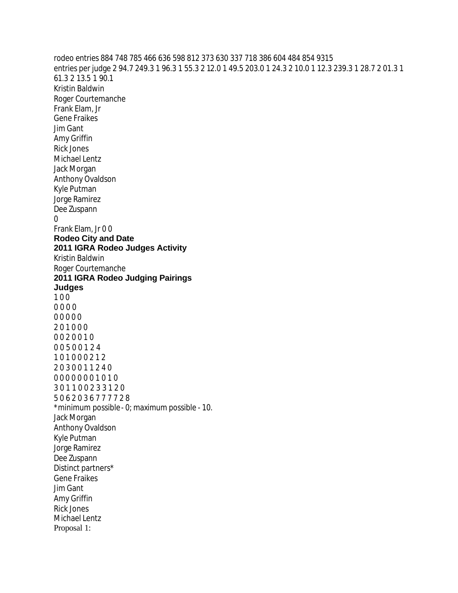rodeo entries 884 748 785 466 636 598 812 373 630 337 718 386 604 484 854 9315 entries per judge 2 94.7 249.3 1 96.3 1 55.3 2 12.0 1 49.5 203.0 1 24.3 2 10.0 1 12.3 239.3 1 28.7 2 01.3 1 61.3 2 13.5 1 90.1 Kristin Baldwin Roger Courtemanche Frank Elam, Jr Gene Fraikes Jim Gant Amy Griffin Rick Jones Michael Lentz Jack Morgan Anthony Ovaldson Kyle Putman Jorge Ramirez Dee Zuspann 0 Frank Elam, Jr 0 0 **Rodeo City and Date 2011 IGRA Rodeo Judges Activity** Kristin Baldwin Roger Courtemanche **2011 IGRA Rodeo Judging Pairings Judges** 1 0 0 0 0 0 0 0 0 0 0 0 2 0 1 0 0 0 0 0 2 0 0 1 0 0 0 5 0 0 1 2 4 1 0 1 0 0 0 2 1 2 2 0 3 0 0 1 1 2 4 0 0 0 0 0 0 0 0 1 0 1 0 3 0 1 1 0 0 2 3 3 1 2 0 5 0 6 2 0 3 6 7 7 7 7 2 8 \*minimum possible - 0; maximum possible - 10. Jack Morgan Anthony Ovaldson Kyle Putman Jorge Ramirez Dee Zuspann Distinct partners\* Gene Fraikes Jim Gant Amy Griffin Rick Jones Michael Lentz Proposal 1: